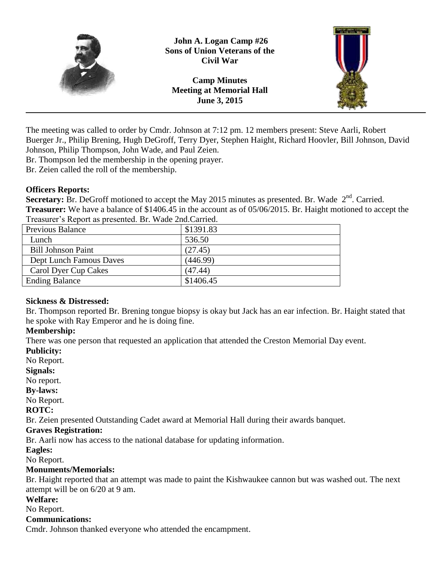

**John A. Logan Camp #26 Sons of Union Veterans of the Civil War**

**Camp Minutes Meeting at Memorial Hall June 3, 2015**



The meeting was called to order by Cmdr. Johnson at 7:12 pm. 12 members present: Steve Aarli, Robert Buerger Jr., Philip Brening, Hugh DeGroff, Terry Dyer, Stephen Haight, Richard Hoovler, Bill Johnson, David Johnson, Philip Thompson, John Wade, and Paul Zeien.

Br. Thompson led the membership in the opening prayer.

Br. Zeien called the roll of the membership.

## **Officers Reports:**

Secretary: Br. DeGroff motioned to accept the May 2015 minutes as presented. Br. Wade 2<sup>nd</sup>. Carried. **Treasurer:** We have a balance of \$1406.45 in the account as of 05/06/2015. Br. Haight motioned to accept the Treasurer's Report as presented. Br. Wade 2nd.Carried.

| $1.1$ who see the set of the production of $1.1$ . The set of the set of $1.1$ |           |
|--------------------------------------------------------------------------------|-----------|
| Previous Balance                                                               | \$1391.83 |
| Lunch                                                                          | 536.50    |
| <b>Bill Johnson Paint</b>                                                      | (27.45)   |
| Dept Lunch Famous Daves                                                        | (446.99)  |
| Carol Dyer Cup Cakes                                                           | (47.44)   |
| <b>Ending Balance</b>                                                          | \$1406.45 |

## **Sickness & Distressed:**

Br. Thompson reported Br. Brening tongue biopsy is okay but Jack has an ear infection. Br. Haight stated that he spoke with Ray Emperor and he is doing fine.

## **Membership:**

There was one person that requested an application that attended the Creston Memorial Day event.

#### **Publicity:**

No Report.

#### **Signals:**

No report.

### **By-laws:**

No Report.

### **ROTC:**

Br. Zeien presented Outstanding Cadet award at Memorial Hall during their awards banquet.

### **Graves Registration:**

Br. Aarli now has access to the national database for updating information.

### **Eagles:**

No Report.

## **Monuments/Memorials:**

Br. Haight reported that an attempt was made to paint the Kishwaukee cannon but was washed out. The next attempt will be on 6/20 at 9 am.

### **Welfare:**

No Report.

### **Communications:**

Cmdr. Johnson thanked everyone who attended the encampment.